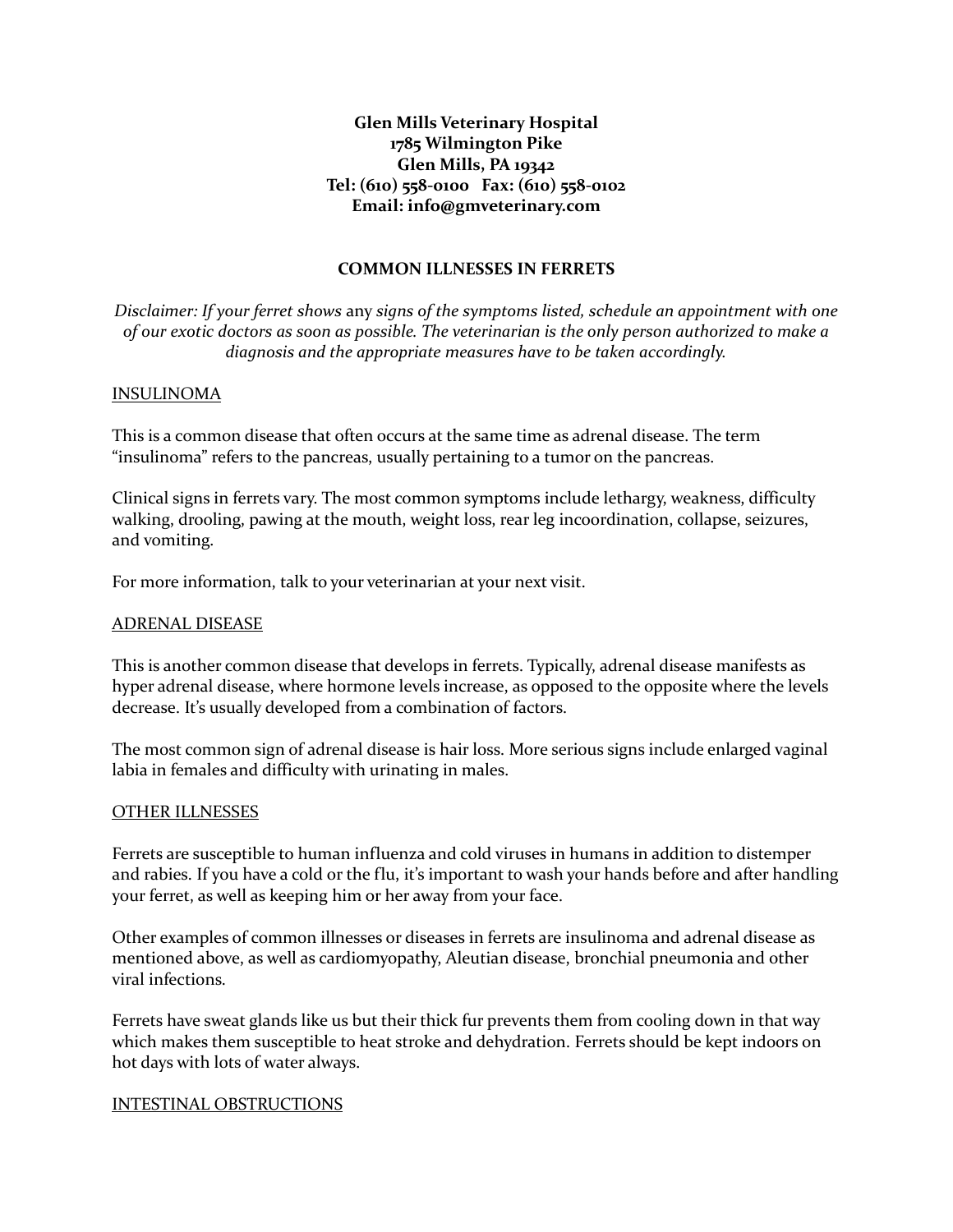# **Glen Mills Veterinary Hospital 1785 Wilmington Pike Glen Mills, PA 19342 Tel: (610) 558-0100 Fax: (610) 558-0102 Email: [info@gmveterinary.com](mailto:info@gmveterinary.com)**

## **COMMON ILLNESSES IN FERRETS**

*Disclaimer: If your ferret shows* any *signs of the symptoms listed, schedule an appointment with one of our exotic doctors as soon as possible. The veterinarian is the only person authorized to make a diagnosis and the appropriate measures have to be taken accordingly.*

## INSULINOMA

This is a common disease that often occurs at the same time as adrenal disease. The term "insulinoma" refers to the pancreas, usually pertaining to a tumor on the pancreas.

Clinical signs in ferrets vary. The most common symptoms include lethargy, weakness, difficulty walking, drooling, pawing at the mouth, weight loss, rear leg incoordination, collapse, seizures, and vomiting.

For more information, talk to your veterinarian at your next visit.

### ADRENAL DISEASE

This is another common disease that develops in ferrets. Typically, adrenal disease manifests as hyper adrenal disease, where hormone levels increase, as opposed to the opposite where the levels decrease. It's usually developed from a combination of factors.

The most common sign of adrenal disease is hair loss. More serious signs include enlarged vaginal labia in females and difficulty with urinating in males.

#### OTHER ILLNESSES

Ferrets are susceptible to human influenza and cold viruses in humans in addition to distemper and rabies. If you have a cold or the flu, it's important to wash your hands before and after handling your ferret, as well as keeping him or her away from your face.

Other examples of common illnesses or diseases in ferrets are insulinoma and adrenal disease as mentioned above, as well as cardiomyopathy, Aleutian disease, bronchial pneumonia and other viral infections.

Ferrets have sweat glands like us but their thick fur prevents them from cooling down in that way which makes them susceptible to heat stroke and dehydration. Ferrets should be kept indoors on hot days with lots of water always.

#### INTESTINAL OBSTRUCTIONS